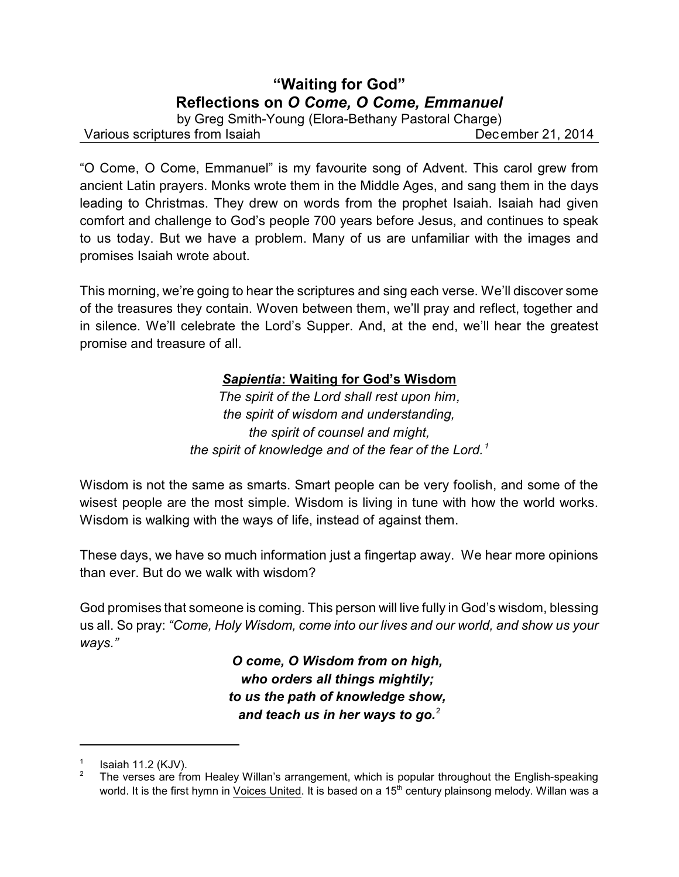# **"Waiting for God" Reflections on** *O Come, O Come, Emmanuel*

by Greg Smith-Young (Elora-Bethany Pastoral Charge)

Various scriptures from Isaiah December 21, 2014

"O Come, O Come, Emmanuel" is my favourite song of Advent. This carol grew from ancient Latin prayers. Monks wrote them in the Middle Ages, and sang them in the days leading to Christmas. They drew on words from the prophet Isaiah. Isaiah had given comfort and challenge to God's people 700 years before Jesus, and continues to speak to us today. But we have a problem. Many of us are unfamiliar with the images and promises Isaiah wrote about.

This morning, we're going to hear the scriptures and sing each verse. We'll discover some of the treasures they contain. Woven between them, we'll pray and reflect, together and in silence. We'll celebrate the Lord's Supper. And, at the end, we'll hear the greatest promise and treasure of all.

## *Sapientia***: Waiting for God's Wisdom**

*The spirit of the Lord shall rest upon him, the spirit of wisdom and understanding, the spirit of counsel and might, the spirit of knowledge and of the fear of the Lord. <sup>1</sup>*

Wisdom is not the same as smarts. Smart people can be very foolish, and some of the wisest people are the most simple. Wisdom is living in tune with how the world works. Wisdom is walking with the ways of life, instead of against them.

These days, we have so much information just a fingertap away. We hear more opinions than ever. But do we walk with wisdom?

God promises that someone is coming. This person will live fully in God's wisdom, blessing us all. So pray: *"Come, Holy Wisdom, come into our lives and our world, and show us your ways."*

> *O come, O Wisdom from on high, who orders all things mightily; to us the path of knowledge show, and teach us in her ways to go.*<sup>2</sup>

<sup>1</sup> Isaiah 11.2 (KJV).

<sup>&</sup>lt;sup>2</sup> The verses are from Healey Willan's arrangement, which is popular throughout the English-speaking world. It is the first hymn in Voices United. It is based on a 15<sup>th</sup> century plainsong melody. Willan was a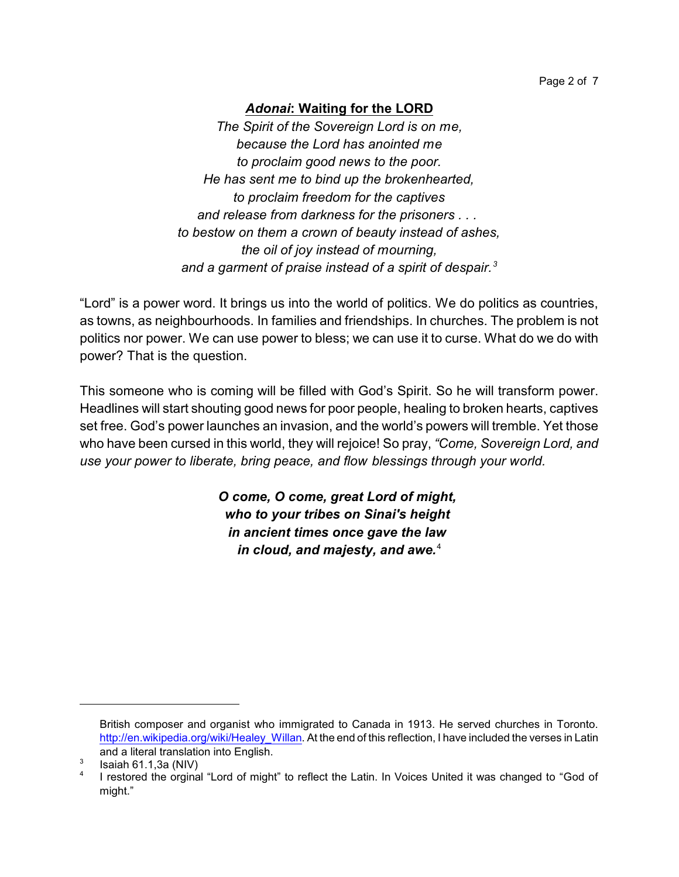## *Adonai***: Waiting for the LORD**

*The Spirit of the Sovereign Lord is on me, because the Lord has anointed me to proclaim good news to the poor. He has sent me to bind up the brokenhearted, to proclaim freedom for the captives and release from darkness for the prisoners . . . to bestow on them a crown of beauty instead of ashes, the oil of joy instead of mourning, and a garment of praise instead of a spirit of despair.<sup>3</sup>*

"Lord" is a power word. It brings us into the world of politics. We do politics as countries, as towns, as neighbourhoods. In families and friendships. In churches. The problem is not politics nor power. We can use power to bless; we can use it to curse. What do we do with power? That is the question.

This someone who is coming will be filled with God's Spirit. So he will transform power. Headlines will start shouting good news for poor people, healing to broken hearts, captives set free. God's power launches an invasion, and the world's powers will tremble. Yet those who have been cursed in this world, they will rejoice! So pray, *"Come, Sovereign Lord, and use your power to liberate, bring peace, and flow blessings through your world.*

> *O come, O come, great Lord of might, who to your tribes on Sinai's height in ancient times once gave the law in cloud, and majesty, and awe.*<sup>4</sup>

British composer and organist who immigrated to Canada in 1913. He served churches in Toronto. [http://en.wikipedia.org/wiki/Healey\\_Willan](http://en.wikipedia.org/wiki/Healey_Willan). At the end of this reflection, I have included the verses in Latin and a literal translation into English.

<sup>3</sup> Isaiah 61.1,3a (NIV)

<sup>4</sup> I restored the orginal "Lord of might" to reflect the Latin. In Voices United it was changed to "God of might."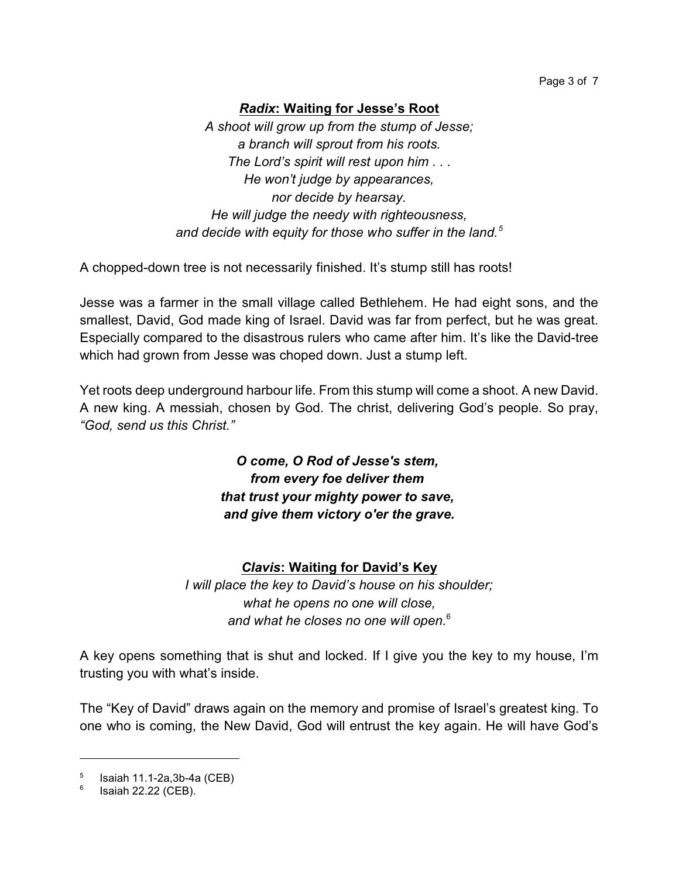## *Radix***: Waiting for Jesse's Root**

*A shoot will grow up from the stump of Jesse; a branch will sprout from his roots. The Lord's spirit will rest upon him . . . He won't judge by appearances, nor decide by hearsay. He will judge the needy with righteousness, and decide with equity for those who suffer in the land.<sup>5</sup>*

A chopped-down tree is not necessarily finished. It's stump still has roots!

Jesse was a farmer in the small village called Bethlehem. He had eight sons, and the smallest, David, God made king of Israel. David was far from perfect, but he was great. Especially compared to the disastrous rulers who came after him. It's like the David-tree which had grown from Jesse was choped down. Just a stump left.

Yet roots deep underground harbour life. From this stump will come a shoot. A new David. A new king. A messiah, chosen by God. The christ, delivering God's people. So pray, *"God, send us this Christ."*

> *O come, O Rod of Jesse's stem, from every foe deliver them that trust your mighty power to save, and give them victory o'er the grave.*

### *Clavis***: Waiting for David's Key**

*I will place the key to David's house on his shoulder; what he opens no one will close, and what he closes no one will open.*<sup>6</sup>

A key opens something that is shut and locked. If I give you the key to my house, I'm trusting you with what's inside.

The "Key of David" draws again on the memory and promise of Israel's greatest king. To one who is coming, the New David, God will entrust the key again. He will have God's

<sup>5</sup> Isaiah 11.1-2a,3b-4a (CEB)

<sup>6</sup> Isaiah 22.22 (CEB).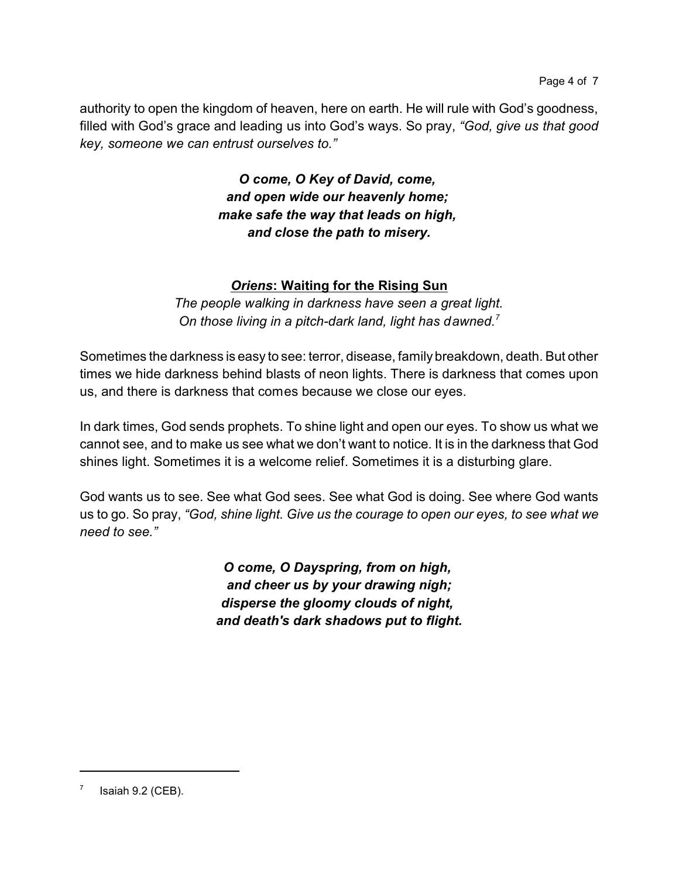authority to open the kingdom of heaven, here on earth. He will rule with God's goodness, filled with God's grace and leading us into God's ways. So pray, *"God, give us that good key, someone we can entrust ourselves to."*

> *O come, O Key of David, come, and open wide our heavenly home; make safe the way that leads on high, and close the path to misery.*

## *Oriens***: Waiting for the Rising Sun**

*The people walking in darkness have seen a great light. On those living in a pitch-dark land, light has dawned.<sup>7</sup>*

Sometimes the darkness is easy to see: terror, disease, family breakdown, death. But other times we hide darkness behind blasts of neon lights. There is darkness that comes upon us, and there is darkness that comes because we close our eyes.

In dark times, God sends prophets. To shine light and open our eyes. To show us what we cannot see, and to make us see what we don't want to notice. It is in the darkness that God shines light. Sometimes it is a welcome relief. Sometimes it is a disturbing glare.

God wants us to see. See what God sees. See what God is doing. See where God wants us to go. So pray, *"God, shine light. Give us the courage to open our eyes, to see what we need to see."*

> *O come, O Dayspring, from on high, and cheer us by your drawing nigh; disperse the gloomy clouds of night, and death's dark shadows put to flight.*

<sup>7</sup> Isaiah 9.2 (CEB).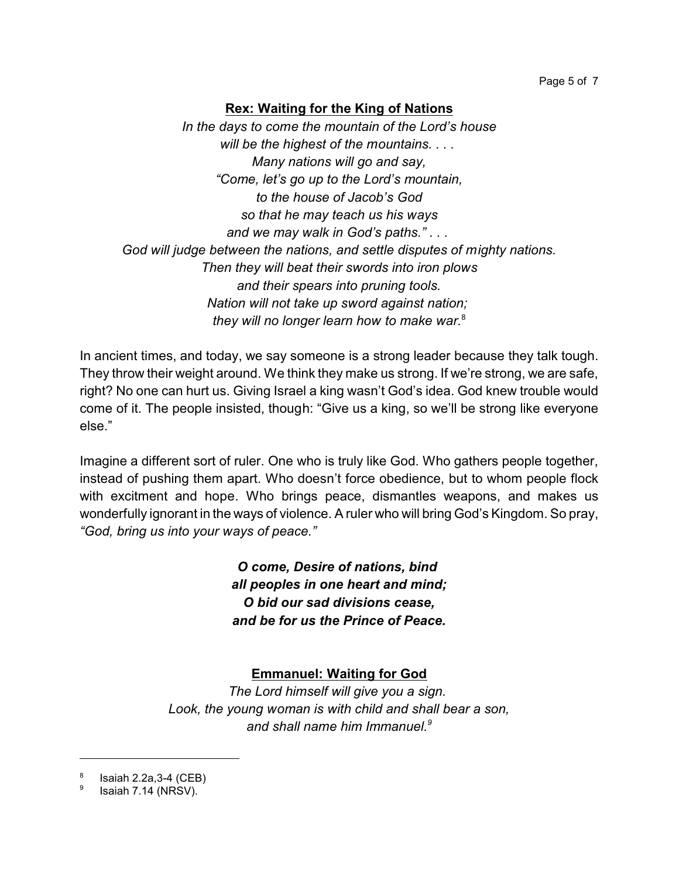## **Rex: Waiting for the King of Nations**

*In the days to come the mountain of the Lord's house will be the highest of the mountains. . . . Many nations will go and say, "Come, let's go up to the Lord's mountain, to the house of Jacob's God so that he may teach us his ways and we may walk in God's paths." . . . God will judge between the nations, and settle disputes of mighty nations. Then they will beat their swords into iron plows and their spears into pruning tools. Nation will not take up sword against nation; they will no longer learn how to make war.*<sup>8</sup>

In ancient times, and today, we say someone is a strong leader because they talk tough. They throw their weight around. We think they make us strong. If we're strong, we are safe, right? No one can hurt us. Giving Israel a king wasn't God's idea. God knew trouble would come of it. The people insisted, though: "Give us a king, so we'll be strong like everyone else."

Imagine a different sort of ruler. One who is truly like God. Who gathers people together, instead of pushing them apart. Who doesn't force obedience, but to whom people flock with excitment and hope. Who brings peace, dismantles weapons, and makes us wonderfully ignorant in the ways of violence. A ruler who will bring God's Kingdom. So pray, *"God, bring us into your ways of peace."*

> *O come, Desire of nations, bind all peoples in one heart and mind; O bid our sad divisions cease, and be for us the Prince of Peace.*

## **Emmanuel: Waiting for God**

*The Lord himself will give you a sign. Look, the young woman is with child and shall bear a son, and shall name him Immanuel.<sup>9</sup>*

<sup>8</sup> Isaiah 2.2a,3-4 (CEB)

<sup>9</sup> Isaiah 7.14 (NRSV).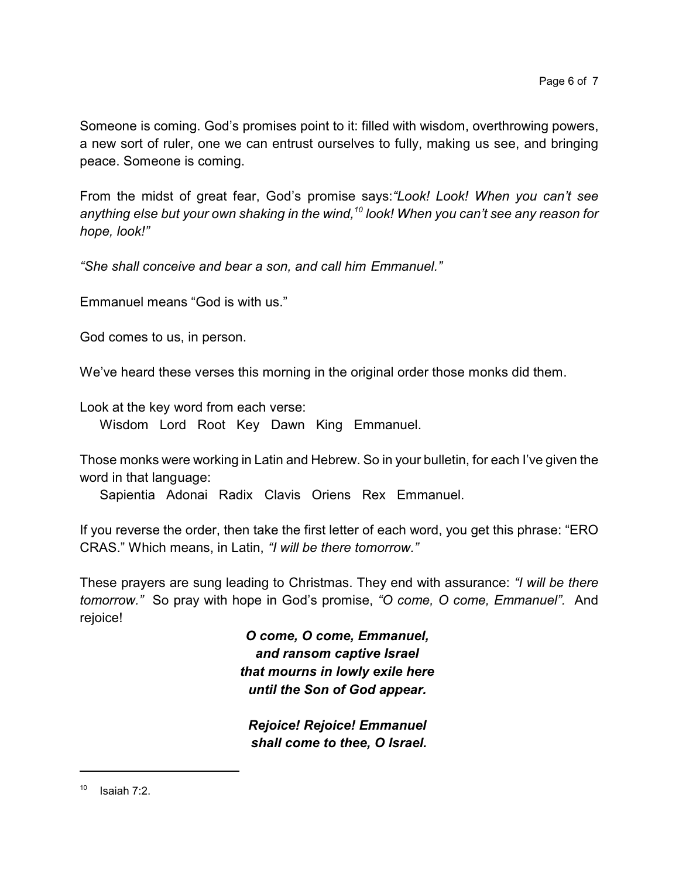Someone is coming. God's promises point to it: filled with wisdom, overthrowing powers, a new sort of ruler, one we can entrust ourselves to fully, making us see, and bringing peace. Someone is coming.

From the midst of great fear, God's promise says:*"Look! Look! When you can't see anything else but your own shaking in the wind,<sup>10</sup> look! When you can't see any reason for hope, look!"*

*"She shall conceive and bear a son, and call him Emmanuel."*

Emmanuel means "God is with us."

God comes to us, in person.

We've heard these verses this morning in the original order those monks did them.

Look at the key word from each verse:

Wisdom Lord Root Key Dawn King Emmanuel.

Those monks were working in Latin and Hebrew. So in your bulletin, for each I've given the word in that language:

Sapientia Adonai Radix Clavis Oriens Rex Emmanuel.

If you reverse the order, then take the first letter of each word, you get this phrase: "ERO CRAS." Which means, in Latin, *"I will be there tomorrow."*

These prayers are sung leading to Christmas. They end with assurance: *"I will be there tomorrow."* So pray with hope in God's promise, *"O come, O come, Emmanuel".* And rejoice!

> *O come, O come, Emmanuel, and ransom captive Israel that mourns in lowly exile here until the Son of God appear.*

*Rejoice! Rejoice! Emmanuel shall come to thee, O Israel.*

 $10$  Isaiah 7:2.